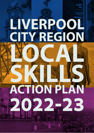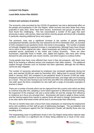### **Liverpool City Region**

## **Local Skills Action Plan 2022/23**

### **Context and summary of position**

The economic crisis provoked by the COVID-19 pandemic has had a detrimental effect on the people and businesses in the City Region: whilst recovery has been faster than many projected in early 2021, there have been sectors, businesses and groups of people who have found this challenging. This has exacerbated a number of the gaps that were previously in place, with women, black and ethnic minority people and those with a disability in particular requiring additional focus and support.

The economic crisis saw a significant increase in the number of people claiming unemployment benefits, and this has now reduced to 52,970 in December 2021, an increase of 32% compared to pre pandemic levels: this trend is encouraging. The number of people on furlough mitigated the expected increase in unemployment, although many have chosen not to return to their original job roles. Many businesses are finding it hard to survive this extended period, particularly in the Visitor and Culture Economy. There are other businesses, especially those in health, care, digital and logistics, who have seen strong demand for jobs and growth over recent months, and which expect to continue further.

Young people have been more affected than most in their job prospects, with them more likely to be working in affected sectors and employers than older workers. The additional support through schemes such as Kickstart has been optimised, although the full effects cannot be fully mitigated.

The number of vacancies advertised by employers has increased significantly during the year, and reached 20,000 per week by December 2021, falling back to around 18,000 per week in January 2022: this compares to pre pandemic levels of around 12,000 per week. Employers are finding it harder to recruit to experienced roles, and wage rates are increasing as a result. They are also having to put more time and effort into onboarding and inducting new staff, given the fierce competition for new staff with a range of innovative examples of practice in place.

There are a number of trends which can be captured from this current crisis which are likely to continue long after this: adopting a more hybrid approach to office/home based working, the expansion of the employer role and a social safety net and the change from efficiency to resilience as a focus are amongst them. Businesses will need to adapt to these trends, and the training support they require to capture these will need to change: businesses need to be clear about what these trends will be and to communicate them effectively.

The last 12 months have seen a focus from many employers on improving the employment terms and conditions of their staff as part of addressing shortages. The accreditation and celebration of employers against the Fair Employment Charter will identify those who are excelling at this.

The longstanding issue of qualification levels in the City Region being below national rates continue, and there is a significant risk of these being widened as a result of this crisis.



**METROMAYOR** 

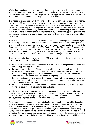Whilst there has been positive progress of late (especially at Level 4+), there remain gaps in GCSE attainment and at all qualification levels in comparison to national rates. Qualifications are used by many employers to sift applications hence the reason it is important to focus upon them and help residents to attain them.

The needs of employers have both remained largely the same and changed significantly over the last 12 months. New qualifications have been introduced in our colleges which more closely meet the needs of businesses locally. Providers have demonstrated significant resilience and flexibility to meet employer and learner demands. Despite the best efforts of many though, there remain many people who are unable to access digital learning, due to lack of equipment, connectivity or a quiet place to study. Additional support, equipment and connectivity has been provided to bridge this gap but there remain many who are without digital access.

There has been a consistent desire to see more involvement and engagement of employers in specifying their current and future skills needs over many years. The City Region is well placed with this given the involvement of many employers on the Employment and Skills Board and the connection with the LEP's Sectoral Boards, Chambers of Commerce and other networks. Through the implementation of the Skills for Jobs White Paper and the Skills Bill, Government is testing out new approaches to doing so on a sectoral or thematic basis: these are expected to be rolled out in 2022/23 following a pathfinder phase.

There are opportunities coming up in 2022/23 which will contribute to levelling up and provide reasons for further optimism:

- the focus on retrofitting homes to comply with future climate obligations will create long term job opportunities in new roles:
- the move towards the use of hydrogen (available locally) as a fuel source will reduce emissions and create new opportunities, with hydrogen powered buses on the road in 2022 and delivery against Net Zero ambitions, including the further development off Glass Futures in St Helens and Ford's Halewood plant;
- the implementation of the Liverpool City Region freeport with an increase in freight and export with North and South America, as well as Ireland, through Liverpool as a result of Brexit will create new jobs; and
- the continued investment in bioscience research and manufacturing in the City Region will help to save lives whilst creating jobs and value.

To fully capture these opportunities will require many people to reskill and retrain, as well as other enhancing their skills through short courses. Colleges, training providers and universities will need to respond quickly to these needs to ensure that residents and employers are prepared for the opportunities and challenges ahead.

Government has responded and invested significantly in much provision which is designed to help people into work and to develop some skills. These schemes are helpful and are on top of both the mainstream offer available through Jobcentre Plus and colleges and the local offer, largely available through European Social Fund (to be replaced by Shared Prosperity Fund). Whilst the additional activity is welcome, the sheer number of schemes presents difficulties for many people and employers in understanding the landscape and making informed choices on what is best for them. This overall cohering of activity within the City



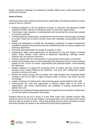Region remains a challenge in an attempt to simplify matters and is under discussion with Government officials.

# **Areas of focus**

Following review of the evidence and input from stakeholders, the following will be the action areas for focus in 2022/23:

- Enabling employers to fill the significant increase in vacancies and attracting suitably experienced talent, with the consequent impact on entry level opportunities;
- Continuing to seek reduction in unemployment and countering the concerning increase in economic inactivity;
- Tackling significant employment, unemployment and economic inactivity gaps remaining for women, those from an ethnic minority, those with a disability, young people and older people;
- Noting and attempting to simplify the increasingly complexity of support programmes available for people and businesses and the extended time taken to access support from national programmes;
- Promoting and opportunities for people to progress in work:
- Preparing for large scale opportunities for development in the City Region, including HyNet, Glass Futures, Ford's eDrive at Halewood, Retrofitting, Hydrogen power, Freeport and Life Sciences Research;
- Promote opportunities for future growth to young people and broader communities;
- Monitor the changing nature of work (especially post pandemic) and the need to prepare people for this, in term of content, requirements and potential location, communicating this effectively;
- Enable employers to support the increased levels of anxiety and poor mental health amongst many people following the pandemic, and work with employment support services for those out of work;
- Monitor the impact of long covid on people, who might already have underlying health conditions and not be able to regain previous levels of activity, and evolve services accordingly;
- Support employers in helping them with promoting good mental health for their staff;
- Communicate the need and opportunity to improve digital skills at all levels in organisations and amend attractiveness and suitability of training programmes to address this; and
- Develop more sustained funding approaches for programmes and activities to allow them to meet the needs of businesses and people.

Detailed actions are set out in Annex A to this Skills Action Plan: detailed sectoral skills needs are set out in Annex B and colleges, training providers and universities will be asked how they plan to respond to these. All existing funding streams will be reviewed to ensure that these priorities are baked in and delivered through these programmes.



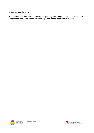## **Monitoring and review**

The actions set out will be monitored quarterly and progress reported back to the Employment and Skills Board, including reporting on the measures of success.



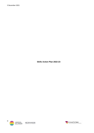5 December 2021

**Skills Action Plan 2022-23**



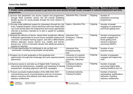**Action Plan 2022/23**

| <b>Action</b>                                                                                                                                                                                                                                                                                                                                                      | <b>Responsible</b>                                                                               |         | <b>Timescale Measure of success</b>                                                                          |  |
|--------------------------------------------------------------------------------------------------------------------------------------------------------------------------------------------------------------------------------------------------------------------------------------------------------------------------------------------------------------------|--------------------------------------------------------------------------------------------------|---------|--------------------------------------------------------------------------------------------------------------|--|
| 1. Enable newly unemployed people to get back into work quickly through locally managed or cohered employment and skills<br>programmes.                                                                                                                                                                                                                            |                                                                                                  |         |                                                                                                              |  |
| 1.1 Ensure that jobseekers can access support and programmes<br>through Work Coaches' advice: this will include facilitating<br>flexible access for young people through the local network of<br>Youth Hubs.                                                                                                                                                       | Jobcentre Plus, Councils                                                                         | Ongoing | Number of<br>jobseekers accessing<br>programmes                                                              |  |
| 1.2 Provide initial additional support for jobseekers through the Job<br>Entry Targeted Support: ensure that those with work-ready skills<br>can move quickly back into employment and ensure appropriate<br>referrals to provision intended to re-skill or upskill for available<br>opportunities.                                                                | Ingeus, Jobcentre Plus                                                                           | Ongoing | Number of people<br>engaging on programme<br>and those getting work                                          |  |
| 1.3 Expand the delivery of Sector- based Work Academies offering<br>individuals opportunities to access known available employment<br>vacancies via tailored training support, and with a differentiated<br>delivery approach across sectors (e.g. health) and learner<br>groups (e.g. victims of domestic abuse) with additional pastoral<br>support as required. | Jobcentre Plus,<br><b>Employers, Training</b><br>providers                                       | Ongoing | Number of programmes,<br>people engaged and<br>those getting work;<br>Sectors/ employers<br>accessing SWAPs. |  |
| 1.4 Provide opportunities for individuals to set up their own<br>businesses, including young people/ young adults                                                                                                                                                                                                                                                  | Jobcentre Plus,<br>Entrepreneurship<br>Hub                                                       | Ongoing | Number of new<br>business starts                                                                             |  |
| 1.5 Support out of work graduates to find graduate level<br>opportunities through jobs brokerage and work experience/work<br>placements                                                                                                                                                                                                                            | University of Liverpool,<br><b>Liverpool John Moores</b><br>University, Jobcentre<br><b>Plus</b> | Ongoing | Number of graduates<br>engaged and helped into<br>work                                                       |  |
| 1.6 Improve access to and take-up of Digital Skills Training by<br>improving the attractiveness, suitability and marketing of training<br>programmes- including alignment with DFE campaigns.                                                                                                                                                                      | <b>Combined Authority</b><br>Training providers;<br>Councils                                     | Ongoing | Number of people<br>accessing Digital Skills<br>training funded by the CA                                    |  |
| 1.7 Ensure successful implementation of the AEB 2022-2027<br>commissioning round, ensuring balance and mix of provision<br>delivers outcomes that address local skills priorities and<br>statutory entitlements.                                                                                                                                                   | <b>Combined Authority;</b><br><b>Training Providers</b>                                          |         | Number of learners<br>participating; qualifications<br>delivered- including<br>statutory entitlements.       |  |



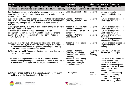| <b>Action</b>                                                                                                                                                                                                                                | <b>Responsible</b>                                                                                      |                                | <b>Timescale Measure of success</b>                                                                                                                                                         |
|----------------------------------------------------------------------------------------------------------------------------------------------------------------------------------------------------------------------------------------------|---------------------------------------------------------------------------------------------------------|--------------------------------|---------------------------------------------------------------------------------------------------------------------------------------------------------------------------------------------|
| 2. Prevent further disengagement of those furthest from the labour market, including the successful local implementation of<br>Government programmes such as Restart and further delivery of the Ways to Work and Households into Work.      |                                                                                                         |                                |                                                                                                                                                                                             |
| 2.1. Continued delivery of Ways to Work support to jobseekers who<br>need more help, to include coordinated recruitment and redundancy<br>support programmes.                                                                                | <b>Councils, Jobcentre Plus</b>                                                                         | Ongoing                        | Number of people<br>engaged and helped into<br>work                                                                                                                                         |
| 2.2. Provision of additional support to those furthest from the labour<br>market in households through Households into Work and facilitated<br>supported by an improved CRM system to support effective service<br>delivery.                 | <b>Combined Authority,</b><br>Councils, Jobcentre Plus                                                  | Ongoing                        | Number of people engaged<br>and helped into work                                                                                                                                            |
| 2.3 Engage with G4S to to ensure that Restart is targeted provision<br>and helps people into work                                                                                                                                            | Jobcentre Plus, Councils,<br><b>Combined Authority</b>                                                  | Ongoing                        | Number of people engaged<br>and helped into work                                                                                                                                            |
| 2.4 Provision of additional support to those at risk of<br>disengagement from the labour market through New Horizons                                                                                                                         | Women's Organisation and<br>consortium                                                                  | Ongoing                        | Number of people engaged<br>and helped into work                                                                                                                                            |
| 2.5 Implement the recommendation of the Positive Action in<br><b>Employment Review</b>                                                                                                                                                       | <b>Combined Authority;</b><br><b>Councils</b> ; LEP                                                     | Ongoing                        | Number of programmes<br>delivered:<br>Number of organisations/<br>businesses supported                                                                                                      |
| 2.6 Ensure that individuals are supported to acquire and apply<br>appropriate employability skills sought by employers in addition<br>to vocationally focused training needs, including addressing<br>ESOL skills needs where demand occurs. | Jobcentre Plus; Training<br>Providers                                                                   | Ongoing                        | Number of people accessing<br>employability and ESOL<br>training                                                                                                                            |
| 2.7 Deliver the Health Foundation funded Health and Employment<br><b>Integration Programme</b>                                                                                                                                               | Combined Authority;<br>University of Liverpool;<br>Liverpool John Moores<br>University.                 | Ongoing (3<br>year<br>funding) | Learning networks and<br>information exchanges                                                                                                                                              |
| 2.8 Ensure that employment and skills programmes include<br>wraparound signposting and information for those in and outside<br>of work who need support with anxiety and mental health.                                                      | Jobcentre Plus; Training<br>Providers; Councils;<br><b>Employers/ Employer</b><br>representative bodies |                                | Reduction in programme no<br>shows; attrition rates;<br><b>Reduction in numbers</b><br>absent from the workplace<br>across the LCR/ not in work<br>for reasons of mental<br>health, anxiety |
| 2.9 Deliver phase 2 of the NHS Careers Engagement Programme,<br>building on and enhancing phase 1 delivery                                                                                                                                   | <b>LCRCA</b> ; HEE                                                                                      | May 22-<br><b>Nov 23</b>       | Number of apprenticeship<br>opportunities created;<br>Number of SWAPs:<br>Number of unemployed<br>adults and young people                                                                   |



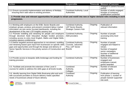| <b>Action</b>                                                                                                                                                                                                                                                                              | <b>Responsible</b>                                                               |         | <b>Timescale Measure of success</b>                                                                                                               |
|--------------------------------------------------------------------------------------------------------------------------------------------------------------------------------------------------------------------------------------------------------------------------------------------|----------------------------------------------------------------------------------|---------|---------------------------------------------------------------------------------------------------------------------------------------------------|
|                                                                                                                                                                                                                                                                                            |                                                                                  |         | engaged in careers focused<br>events                                                                                                              |
| 2.11 Ensure successful implementation and delivery of Multiply,<br>ensuring that it add value to existing provision.                                                                                                                                                                       | <b>Combined Authority; Local</b><br><b>Authorities</b>                           |         | Number of adults engaged;<br>Number of numeracy<br>qualifications achieved                                                                        |
| 3. Provide clear and relevant opportunities for people to retrain and reskill into new or higher demand roles including in work<br>progression.                                                                                                                                            |                                                                                  |         |                                                                                                                                                   |
| 3.1 Working with employers on the ESB, Sector Boards and<br>employer groups, produce and present consistent labour market<br>information via new sector focused dashboards, including the<br>development of the new LCR Insights vacancy tool                                              | Combined Authority,<br><b>LEP Sector Boards,</b><br><b>Strategic Careers Hub</b> | Ongoing | Publication of<br>relevant information                                                                                                            |
| 3.2 Promote reskilling and retraining for people and employers<br>through devolved Adult Education Budget funded provision,<br>including access to entry level English, Maths and Digital Skills-<br>including statutory entitlements                                                      | Combined Authority,<br><b>AEB</b> providers                                      | Ongoing | Number of people<br>accessing entry level<br>training                                                                                             |
| 3.3 Deliver targeted sectoral approaches to recruitment, reskilling<br>and retraining based upon input from businesses on specific skills<br>gaps and opportunities and through the design and delivery of<br>Sector Specific Services in the priority sectors of Construction and<br>Care | Combined Authority,<br>Councils, Jobcentre<br>Plus, LEP Sector<br><b>Boards</b>  | Ongoing | Number of people<br>engaged and helped to<br>retrain;<br>Number of targeted<br>sector campaigns;<br>Number of additional<br><b>Skills Brokers</b> |
| 3.4 Provide access to bespoke skills brokerage and funding for<br>training provision                                                                                                                                                                                                       | <b>Combined Authority</b>                                                        | Ongoing | Number of businesses<br>engaged and<br>employees trained;<br>grants awarded                                                                       |
| 3.5. Facilitate and promote the extension of free Level 3<br>courses for adults to address the skills gaps at all levels locally.                                                                                                                                                          | Combined<br>Authority,<br>Colleges                                               | Ongoing | Number of relevant<br>courses' starts                                                                                                             |
| 3.6. Identify learning from Digital Skills Bootcamp pilot and work<br>with successful providers to ensure delivery meets specified<br>needs of businesses ahead of future delivery                                                                                                         | Combined<br>Authority                                                            | Ongoing | Publication of learning<br>from phase 1: number of<br>people trained/ supported<br>into work                                                      |



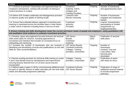| <b>Action</b>                                                                                                                                                                                                            | <b>Responsible</b>                                                                                       |                | <b>Timescale Measure of success</b>                                                              |  |
|--------------------------------------------------------------------------------------------------------------------------------------------------------------------------------------------------------------------------|----------------------------------------------------------------------------------------------------------|----------------|--------------------------------------------------------------------------------------------------|--|
| 3.7 Continue to promote Traineeships and Apprenticeships for<br>employers and learners, working with providers of training to<br>ensure provision is in place                                                            | Combined<br>Authority, ESFA,<br>Colleges and                                                             | Ongoing        | Number of traineeship<br>and apprenticeship starts                                               |  |
|                                                                                                                                                                                                                          | <b>Training Providers</b>                                                                                |                |                                                                                                  |  |
| 3.8 Deliver ESF funded Leadership and Management provision<br>to improve quality and uptake of training locally                                                                                                          | Liverpool John<br><b>Moores University</b>                                                               | Ongoing        | Number of businesses<br>engaged and employees<br>trained                                         |  |
| 3.9. Ensure that a blended delivery approach to teaching and                                                                                                                                                             | Combined                                                                                                 | Ongoing        | Learner characteristics                                                                          |  |
| learning is maximised across the provider base in order attract                                                                                                                                                          | authority;                                                                                               |                | participating on funded                                                                          |  |
| a wider cohort of learners including those in and out of work                                                                                                                                                            | Providers                                                                                                |                | programmes e.g.<br>employed learners                                                             |  |
| 4. Ensure training and skills development meets the current and future needs of people and employers, using quantitative LMI<br>and qualitative local evidence to underpin investment priorities;                        |                                                                                                          |                |                                                                                                  |  |
| 4.1 Develop, agree and implement focused business led sectoral<br>skills action plans for 2022/23, including approaches to<br>recruitment and retention that includes an increased focus on<br>onboarding and mentoring. | <b>LEP Sector</b><br>Boards,<br>Combined<br>Authority                                                    | March<br>2022  | <b>Publication of sectoral</b><br>skills plans                                                   |  |
| 4.2 Increase the number of businesses who are involved in<br>identifying and developing curricula and qualifications (in line with<br>Skills for Jobs recommendations.                                                   | <b>LEP Sector Boards,</b><br><b>Combined Authority,</b><br>Colleges, Training<br>providers, Universities | Ongoing        | Number of<br>businesses<br>involved; Test and<br>Learn pilots; New<br>learning aims<br>developed |  |
| 4.3 Review existing provision for technical skills training at Levels<br>4 and 5 and identify areas for development and improvement<br>ensuring lessons learned from L4-L6 short course trial are<br>incorporated        | Colleges, Training<br>providers, Universities                                                            | Spring<br>2022 | Publication of report<br>with areas for focus                                                    |  |
| 4.4 Address gaps in gaps in LMI by commissioning additional work<br>focused on specific sectors to better articulate job role level skills<br>needs and demystify progression pathways                                   | <b>Combined Authority,</b><br><b>LEP Sector Boards</b>                                                   | Ongoing        | Publication of range of<br>additional sectoral material<br>to include progression<br>pathways    |  |



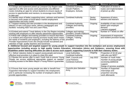| <b>Action</b>                                                                                                                    | <b>Responsible</b>             |                  | <b>Timescale Measure of success</b> |  |
|----------------------------------------------------------------------------------------------------------------------------------|--------------------------------|------------------|-------------------------------------|--|
| 4.5 Design and implement joined up Liverpool City Region wide                                                                    | Combined Authority,            | Autum            | Publication of review of            |  |
| approach to offer and access work placements (via different                                                                      | Growth Platform,               | n 2021           | routes and implementation           |  |
| routes including an app) for school students to ensure equity of                                                                 | Employers, Schools             |                  | of joined up offer                  |  |
| access to opportunities and mentors; to encourage more SMEs                                                                      |                                |                  |                                     |  |
| to take part                                                                                                                     |                                |                  |                                     |  |
| 4.6 Identify ways of better supporting tutors, advisers and learners                                                             | <b>Combined Authority</b>      | Sector           | Awareness of tutors,                |  |
| to become more aware of local labour market employment                                                                           |                                | <b>Boards</b>    | advisers and learners               |  |
| opportunities and entry routes                                                                                                   |                                |                  |                                     |  |
| 4.7 Support existing and new providers in the development and                                                                    | Combined Authority,            | Ongoing          | Availability of new courses         |  |
| delivery of new curriculum areas, delivery pedagogies and                                                                        | Colleges and training          |                  | based upon employer<br>demand       |  |
| facilities- including AEB Test and Learn Pilots,                                                                                 | providers                      |                  | Learners engaged                    |  |
| 4.8 Embed and extend T level delivery in the City Region including                                                               | Colleges and training          | Ongoing          | Number of T levels on offer         |  |
| working with employers to offer industry placement opportunities                                                                 | providers; Growth Platforrm    |                  |                                     |  |
| 4.9 Work with colleges and training providers to ensure that there                                                               | <b>Combined Authority,</b>     | Ongoing          | Assessment of responsive            |  |
| is a resilient and responsive training provision locally which meets                                                             | Colleges, Training             |                  | and resilient provision locally     |  |
| the needs of residents and employers, including the delivery of the                                                              | providers                      |                  |                                     |  |
| Provider Improvement Fund: this should include recruitment and                                                                   |                                |                  |                                     |  |
| retention of high- quality teachers and Governors                                                                                |                                |                  |                                     |  |
| 5. Additional focused and targeted support for young people to support transition into the workplace and access employment       |                                |                  |                                     |  |
| opportunities including access to high quality Careers Education, Information Advice and Guidance.; ensuring those with          |                                |                  |                                     |  |
| disabilities and/or learning difficulties are able to access such support; supporting Councils to fulfil their statutory duties. |                                |                  |                                     |  |
| 5.1. Deliver statutory duties to support young people and ensure                                                                 | Local Authorities,             | Ongoing          | Proportion of 16-18 year            |  |
| effective local provision is in place to meet this need                                                                          | <b>Combined Authority</b>      |                  | olds who are NEET                   |  |
| 5.2 Review the service offer in each Youth Hub to ensure Young                                                                   | DWP, Councils and              | <b>July 2022</b> | Number of Youth Hubs                |  |
| People can access additional appropriate support as needed-                                                                      | Local Partners;                |                  | Number of young people              |  |
| including access to the Metro Mayor's Young Person's guarantee.                                                                  | <b>Combined Authority</b>      |                  | accessing additional                |  |
|                                                                                                                                  |                                |                  | support;                            |  |
|                                                                                                                                  |                                |                  | Range of services available         |  |
| 5.3 Ensure that more young people are able to benefit from                                                                       | <b>Councils plus Salvation</b> | Ongoing          | Number of Supported                 |  |
| Supported Internships to support transition into employment,                                                                     | Army                           |                  | Internships and                     |  |
| and in particular increasing the number of employers able to                                                                     |                                |                  | proportion securing                 |  |
| provide opportunities.                                                                                                           |                                |                  | work afterwards                     |  |



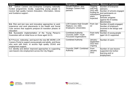| <b>Action</b>                                                                                                                                                                                              | <b>Responsible</b>                                                                     |                                                                         | <b>Timescale Measure of success</b>                                                                                                                                              |
|------------------------------------------------------------------------------------------------------------------------------------------------------------------------------------------------------------|----------------------------------------------------------------------------------------|-------------------------------------------------------------------------|----------------------------------------------------------------------------------------------------------------------------------------------------------------------------------|
| Deliver Careers and Enterprise Company nationally<br>5.4<br>funded programmes locally, supporting young people to<br>receive high quality Careers Education, Information, Advice<br>and Guidance support - | Growth Platform- plus<br><b>Strategic Careers Hub</b><br>partners                      | Ongoing<br>until Aug.<br>2022 with<br>funding for<br>years<br>expected. | Number of Enterprise<br>advisers:<br>Number of schools engaged<br>and participants on<br>subsequent programme;<br>Schools' progress<br>against the 8 Gatsby<br><b>Benchmarks</b> |
| <b>5.5.</b> Pilot and test new and innovative approaches to work<br>experience and work placements in the Health and Social<br>Care sectors that supports pre/post-16 transition phases of<br>education    | <b>LCR Careers Hub/ Growth</b><br>Platform; CA; HEE;<br><b>Employers; Universities</b> | From Jan<br>22                                                          | Number of pupils engaged;<br>Number of employers<br>involved in the design and<br>delivery                                                                                       |
| <b>5.6.</b> Successful implementation of the Young Person's<br>Guarantee with an initial focus on those aged 18-21.                                                                                        | <b>Combined Authority;</b><br>Councils; DWP; Youth<br><b>Focussed Organisations</b>    | From early<br>2022                                                      | Number of young people<br>aged 18-21 supported.                                                                                                                                  |
| 5.7 Procure, redevelop, and launch the new BE MORE LCR<br>Careers Portal to support young people and adults, and those<br>who work with them, to access high quality CEIAG and<br>employment support.      | <b>Combined Authority</b>                                                              | January -<br>September<br>2022 then<br>ongoing                          | Number of users                                                                                                                                                                  |
| 5.8. Identify and deliver improved approaches to supporting<br>care leavers into employment across the City Region                                                                                         | Councils; DWP; Combined<br>Authority                                                   | <b>From</b><br>January<br>2022                                          | Number of care leavers<br>supported into further<br>learning and/ or<br>employment                                                                                               |



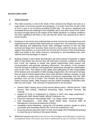### **Sectoral skills needs**

### 1. Visitor Economy

- 1.1 The visitor economy is vital to the whole of the Liverpool City Region and acts as a major driver of economic growth and prosperity. It is worth more than £4.2bn worth of GVA a year to our economy providing 52,000 jobs. The serious, significant and immediate threat and challenge to the hospitality sector and other areas of the Visitor Economy brought about by the impact of the health pandemic on trading conditions has been significant and there is the risk that the sector has reduced by £1.5bn in recent months.
- 1.2 Employers in the sector have indicated that survival must be the *immediate* focus and supported by the required skills interventions to support this. The importance of future skills planning and addressing known skills shortages remains as this will help survival and longer term recovery; there must be a focus within the sector, and with support from partners, to ensure both the survival and recovery of the of businesses within and linked to the Visitor Economy connecting to, and benefitting from, both national and local packages of support.
- 1.3 Building resilience and market diversification will need massive investment in digital skills to help deliver the services that will build back consumer confidence resulting from Covid, the capacity to exploit new market opportunities (both product and communication) and generate operating efficiencies. The delivery of the priorities must be through of employer led programmes (particularly through key stakeholders such as the LHA). This relates to their ability (and willingness) to take responsibility of the delivery and conception of skills strategy programmes, the removal of red tape that can lead to missed opportunities when quick decision making is needed, as well as the ability to pump prime long lasting commercial relationships with the skills providers such as City & Guilds. This includes the pilot traineeship programmes, Visitor Economy Week, Skills Passport and the Global Hospitality Certification pilot with City and Guilds. The summary of requirements is set out below:
	- Generic Skills Training, focus on key service delivery items Barista Service, Table Service, Bed making, Telephone answering, Basic Customer Services, Bar Training;
	- Support for those in employment in Industry to learn next stage progression dealing with Staff, Mental Health, difficult Customers, etc;
	- Financial Training for Intermediate Staff e.g. Wage control, cost percentages;
	- Role Development Chef Skills, Social Media Skills, Financial Skills for Management, personal development of others;
	- Hospitality Career Marketing giving the LCR students, parents, people on what a successful and rewarding industry this can be for employment; and
	- Ensuring Schools open their doors to hear and engage with Hospitality Businesses to share the joy of working in this great Industry.
- 1.4 Whilst the long term persistent and serious skill shortages and skills gaps in particular occupational areas will remain and need to addressed as part of recovery, there will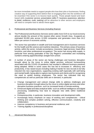be more immediate needs to support people who lose their jobs or businesses: finding creative way of supporting them before then re-engaging them into the workforce will be essential if the sector is to bounce back quickly. Those people based and team based skills (customer service; presentation skills IT; business awareness; attention to detail; resilience; multi- tasking) will be attractive to other sectors and employers will need to compete hard to attract these again.

### 2. Professional and Business Services (including finance)

- 2.1 The Professional and Business Services sector adds more GVA to our local economy almost double the amount of the nearest other sector Growth Area. It supports an estimated 93,000 jobs across 12,000 companies and generates more than £4.2 billion per annum in economic activity.
- 2.2 The sector has specialism in wealth and fund management and in business services for the health and life science and maritime industries. The primary areas of business activity, within the sector, include accountancy; insurance; legal services; head office functions; and other professional occupations. The sector has strong skills supply, in particular from among graduates of the City Region's universities and increasing numbers entering apprenticeships straight from school.
- 2.3 A number of areas of the sector are facing challenges and business disruption brought about by the move to online digital services; enforced homeworking associated with the COVID-19 pandemic has resulted in different business practices being adopted. Whilst in some cases this has led to increases in efficiency and productivity, it has raised issues including making it harder for new recruits to be fully inducted into new organisations, supporting existing staff especially with well-being and mental health, being able to capture new business and clients and for recognising the need to upskill existing employees. The sector has indicated that key competencies as well as particular skills are in demand, in particular:
	- Change management and cultural change skills to address challenges and business disruption brought about by the move to online digital services and other disruptive business practices- such as increased levels of remote working.
	- Enhanced digital and data analytical skills- such as artificial Intelligence and digital processing, establishing how best to integrate new skills within traditional methods;
	- Entrepreneurship, in particular, business innovation and development skills,
	- Increasingly heavy emphasis on ways of working and competencies critical thinking and complex problem solving, effective communication, creativity and collaboration;
	- Improve competency in business and personal resilience; and
	- Training digitally in professional disciplines
- 3. Advanced Manufacturing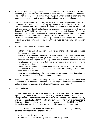- 3.1 Advanced manufacturing makes a vital contribution to the local and national economy, providing over 47,000 jobs and over £4.3bn of GVA to the LCR economy, The sector, broadly defined, covers a wide range of activity including chemicals and pharmaceuticals, automotive, metal products, electronics and manufactured fuels.
- 3.2 The sector is strong in the City Region, experiencing both employment growth and increased GVA. The sector has an ageing workforce, with ONS data for the City Region indicating that 37% of workers are aged 50+. Automation and the harnessing and application of digital technologies is increasing in prevalence and general demand for STEM skills remains strong due to replacement demand. The sector needs more candidates to progress into roles in the sector; research from local higher education institutions indicates that only 24% of STEM graduates actually take up STEM occupations six months later after graduation: this is despite large numbers of students undertaking courses in departments rated as world class in research areas.
- 3.3 Additional skills needs and issues include:
	- Further development of leadership and management skills that also includes change management;
	- Digital Skills (addressing the concern around 'digital natives') and to work sideby-side interacting with technological business solutions such as increased use of Robotics and the impact of wider policies and customer demands on the manufacturing process e.g. Low Carbon and environmental factors influencing the demand for electric vehicles;
	- The need to support education and skills providers to better connect those who have studied STEM subjects to transition/ progress into STEM job roles and to retain those that do; and
	- Improved communication of the many varied career opportunities- including the terms and conditions on offer to attract more entrants.
- 3.4 Advanced Manufacturing is competing to attract STEM applicants with most other sectors and there needs to be renewed focus on targeted promotion of the sector as well as a focus on managing and retaining Millennials / Generation X.

### 4. Health and Care

- 4.1 Human Health and Social Work activities is the largest sector by employment representing 12.5% of total employment in England and 14% in the North West. It is an especially significant employment area within the Liverpool City Region economy where it represents almost 18% of total employment. Adding in Life Sciences means that over 125,200 people are working in these sectors, adding £4.4 billion of GVA to the local economy and accounting for 20% of all jobs across the City Region.
- 4.2 Nationally, Government (based on labour market and sector body evidence) has identified a number of skills shortage areas:
	- Healthcare practice managers;
	- Residential, day and domiciliary care managers and proprietors;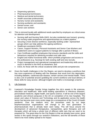- Dispensing opticians;
- Pharmaceutical technicians;
- Medical and dental technicians;
- Health associate professionals;
- Nursery nurses and assistants;
- Nursing auxiliaries and assistants;
- Dental nurses; and
- Senior care workers
- 4.3 This is mirrored locally with additional needs specified by employers as critical areas for attention and development:
	- Nursing staff and Nursing Skills (NHS, but also residential care homes): growing the nursing cadet programme and apprenticeships as a talent pipeline ;
	- Securing a more diverse workforce, especially tackling under- represented groups which can help address the ageing workforce;
	- Healthcare assistants (NHS);
	- Carers, Support Workers, Personal Assistants and Senior Care Workers and reablement carers to support patients to manage after a period of illness ;
	- Care Certificate qualified employees that ensures standards and the skills and behaviours required for delivering excellent and safe care;
	- English and maths/ functional skills- which prohibits progression and access to the professions (e.g. Nursing) for both existing staff and new recruits;
	- Project management and operational management and leadership skills are as much in demand in the NHS as elsewhere; and
	- ESOL for those with the critical vocational skills and job role competencies
- 4.4 Given the health challenges in the City Region, we need to develop a workforce that has more experience of dealing with the diseases that result from this deprivation, including diabetes, cardiovascular disease, certain cancers and mental health. There is also a lot of potential around upskilling the current workforce and local delivery of these skills for easy access- although English and maths is increasingly a barrier.

### 5. Life Sciences

5.1 Liverpool's Knowledge Quarter brings together the city's assets in life sciences, education and healthcare. With world leading specialisms in infectious diseases, personalised medicine, digital health, and sports science, it will be one of the largest academic and clinical campuses in the UK on completion of its new hospitals. The power and value of Science and Technology and its application across the health sector has become even more centre stage as a consequence of the Covid-19 health pandemic. Over the medium term, the processes used by our large biopharmaceutical organisations will change to the next generation of pharmaceuticals that is already been seen today. This will focus around the development of advanced therapeutics, nanoparticles, gene therapies and cell therapies which will bring a whole host of different skills sets that we need to be prepared for. The great news for the City Region is that we already have some great assets in this space through our research institutions, and the full benefits of these need to be more widely spread to for impact.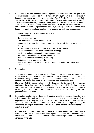- 5.2 In keeping with the national trends, specialised skills required for particular occupations are deemed to be in short-supply by employers, whilst other skills are in demand from employers e.g. cyber security. The SIP Life Sciences 2030 Skills Strategy has highlighted a number of 'pinch points' where skills gaps (lack of specific skills across the workforce) and skills shortages (insufficient quantity of workers) exist in the UK Life Sciences industry sector. The nature of the life sciences sector means that a variety of roles and progression pathways exist up to level 7 and local skills demand mirrors the needs articulated in the national skills strategy, in particular.
	- Digital, computational and statistical literacy;
	- Leadership skills;
	- Communication skills;
	- Translation and commercialisation skills;
	- Work experience and the ability to apply specialist knowledge in a workplace setting;
	- Skills updates to reflect technological and regulatory change;
	- Skills for cross-team and cross-disciplinary working;
	- Identifying and promoting entry- level opportunities
	- Succession planning for an ageing workforce;
	- Promotion and facilitation of agile careers;
	- Holistic sales and marketing skills;
	- Data analysis and interpretation (within Laboratory Technician Roles); and
	- Cyber security.

### 6. Construction

- 6.1 Construction is made up of a wide variety of trades, from traditional wet trades such as plastering and bricklaying, to new trades including off site manufacturing, modular or system buildings, green technologies, digital generated designs, and professional roles in architecture and many more. The sector has contributed over £25 billion (ONS) Gross Value Added (Balanced) to Liverpool City Region's renaissance in the last 20 years. The workforce of the Liverpool City Region is smaller than predicted future demand, and broadening diversity remains a priority: there is an ageing workforce at professional and trades level which risks widening the skills gaps in the years to come.
- 6.2 Construction has traditionally been, and remains, one of the most volatile sectors and skilled construction and building trades occupations has a high proportion of selfemployed workers compared to employed workers. This is an important feature of the sector to note in the immediate post Brexit period as being sponsored by, or attached to, an employer provides relative advantages under the Government's new migration system.
- 6.3 Apprenticeship numbers have been broadly static over recent years, and there is more work that needs to be done with employers to stimulate the creation of quality and sustainable apprenticeships. This will be to developing a skilled and motivated workforce of the future.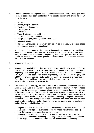- 6.4 Locally, and based on employer and sector bodies feedback, Skills Shortages/under supply of people has been highlighted in the specific occupational areas, as shown in the list below:
	- Glaziers;
	- Bricklayers (time-served);
	- Painters and decorators;
	- Civil Engineers;
	- Surveyors;
	- Wood Trades and interior fit-out;
	- Construction Project Managers;
	- Design managers, floor layers and electronics;
	- Electricians; and
	- Heritage Construction skills which can be linked in particular to place-based specific regeneration activities locally.
- 6.5 Anecdotal evidence suggests that construction activities relating to residential home property improvements has resulted in some rebalancing of employment activity away from commercial property strengthening demand for plasters and plumbers. Generally, most construction occupations earn less than median incomes relative to the rest of the economy.

#### 7. Maritime and logistics

- 7.1 Maritime and Logistics is a key employment and wealth generating sector for Liverpool City Region. There are over 2,000 businesses operating in the sector, employing over 26,000 people in 2016, which is 4.2% of the region's workforce. Employment in the sector has grown significantly in Liverpool City Region, with 12,000 jobs created between 2010 and 2016, mainly in transport and warehousing. There has been significant growth of late linked to the growth in online purchasing associated with the current health crisis.
- 7.2 The sector is increasingly at the forefront of automation, innovation and the application and use of technology to support and improve the way customer needs are met. Whilst previous engagement with employers suggested that relatively fewer skills shortages existed, further discussions with employers and those who work with the sector is indicating that this is changing with disruptions brought about by the health pandemic, as well as Brexit. Businesses are having to respond rapidly to the economic shocks and changes in customer demand and behaviour and view the need to attract and retain a skilled and flexible workforce as a priority. Employment and Skills related priorities include:
	- Engineering skills which now include increased used of robotics, automation and data management (cross-over areas of the advanced manufacturing sector);
	- Low Carbon and decarbonisation skills (logistics);
	- Digital skills (existing workforce) and the need to respond to new customer expectations and ways of working, especially in the areas of logistics to respond to the huge rise in e-commerce trade and the associated requirements;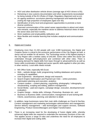- HGV and other distribution vehicle drivers (average age of HGV drivers is 55);
- Retraining in new customs documentation and other requirements necessitated by being outside of the EU (Rules of Origin, Regulatory Alignment and so on);
- An ageing workforce: succession planning management and leadership skills (noting the high proportion of employees aged over 50);
- Identification of entry level and progression opportunities to promote a more diverse workforce;
- Improved communication of the varied career opportunities to attract and retain new entrants, especially the maritime sector to address historical views of what the sector does and how it works;
- Work readiness and employability (attitudes); and
- More flexible and modular learning that includes analytical and communication skills.

### 8. Digital and Creative

- 8.1 Employing more than 21,150 people with over 3,980 businesses, the Digital and Creative Sector is critical to the economic performance of the City Region as both a sector and an enabler for all sectors. The Technology sector is the highest paying in the City Region with a median salary of £40,000. Some roles within this sector are undertaken through self-employment and combined with other roles. There is increasing demand for digital skills from basic through to advanced/niche as well as fusion skills (combination of digital and sector specific skills applied in other job roles, in other sectors). Local skills needs include:
	- MS Office Suite, especially MS Excel;
	- Web website design, build, programming: building databases and systems including AI capabilities;
	- User Experience development, design and research;
	- Search Engine Optimisation and Payment per Click online promotion, optimisation planning and execution, analytics;
	- Content creation content planning, copywriting, photography / videography, storyboarding, scripting and editing, platform management;
	- Social Media paid and organic, campaign design, execution, development and evaluation;
	- Graphic Design Adobe skills, InDesign, Photoshop, Illustrator etc.; and
	- Business to Business Skills: communication; management of and working with Clients, assertiveness; planning; and attention to detail.
- 8.2 In addition, large businesses name their main skills challenges as Cloud & DevOps, Content management and marketing technologies administration and management, Service delivery management – web technologies and support services, Software Engineering, Product Owners/Managers and Digital Transformation.
- 8.3 There is an increasing need for the developing of fusion digital skills, whereby enhanced digital skills are required to undertake the necessary functions of the role. This applies across a range of roles and underlines the need for all employees to increase their digital and coding skills.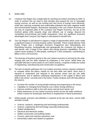## 9. Green Jobs

- 9.1 Liverpool City Region has a target date for reaching net carbon neutrality by 2040. In order to achieve this we need to both develop and expand the use of renewable energy sources, as well as use existing and new forms of energy more efficiently, whilst also reducing unwanted and undesirable pollutants that have negative health and environmental impacts. Businesses operating in the Low Carbon Economy are not only an important pillar of the Liverpool City Region Economy, but are at the forefront global shifts towards clean and efficient use of energy. Beyond the compelling environmental and health imperatives, there are significant economic advantages that Liverpool City Region is well-placed to benefit from.
- 9.2 The City Region is well placed to capture a range of opportunities which could made a significant impact in moving towards carbon neutrality. These include Mersey Tidal Power Project and a Hydrogen Economy Programme plus Refurbishing and Retrofitting Housing. Geographically and geologically the Liverpool City Region is well placed, with a range of low carbon and energy business capabilities; the low carbon sector employs 27,000 people, working for 1,400 companies, contributing £2 Billion to the LCR economy.
- 9.3 The diversity of business activity in the Low Carbon economy is mirrored by the wideranging jobs and the skills required by employers in the sector. While there are specialist skill sets in some areas of Low Carbon activity, a majority of skills are rooted in engineering, manufacturing and construction occupations.
- 9.4 The lack of specific pathways into Low Carbon economy careers requires employers to compete within the labour market for the best skills and talent. More work is required to understand and respond to the precise sector and job role skills requirements, and to address underlying weaknesses in the supply of labour and skills in the sector- currently and in the future. Further analysis work will help address the need to:
	- Increase the number of young people entering and progressing in the sector;
	- Capitalise on changing trend towards Low Carbon energy efficiency;
	- Improve workforce skills in line with sector and job level needs; and
	- Raise awareness of Low Carbon economy drivers across the wider workforce (what it means for businesses and those in employment in these businesses).
- 9.5 Whilst greater precision and definition is required at the job role level, current skills priorities include:
	- Science, research, engineering and technology professionals;
	- Science, engineering and technology associate professionals;
	- Skilled metalworkers:
	- Electrical and electronic trades;
	- Skilled construction and building trades;
	- Process, plant and machine operatives; and
	- Elementary trades and related occupations.